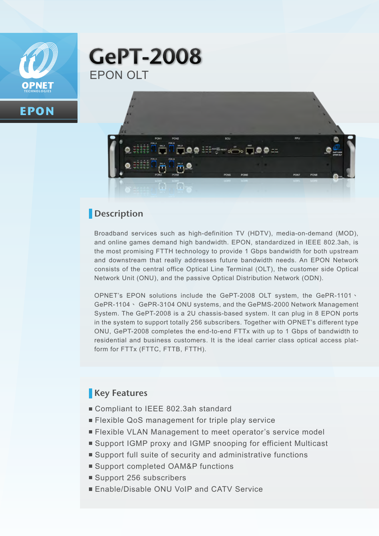

**EPON**

# **GePT-2008** EPON OLT



### **Description**

Broadband services such as high-definition TV (HDTV), media-on-demand (MOD), and online games demand high bandwidth. EPON, standardized in IEEE 802.3ah, is the most promising FTTH technology to provide 1 Gbps bandwidth for both upstream and downstream that really addresses future bandwidth needs. An EPON Network consists of the central office Optical Line Terminal (OLT), the customer side Optical Network Unit (ONU), and the passive Optical Distribution Network (ODN).

OPNET's EPON solutions include the GePT-2008 OLT system, the GePR-1101、 GePR-1104、 GePR-3104 ONU systems, and the GePMS-2000 Network Management System. The GePT-2008 is a 2U chassis-based system. It can plug in 8 EPON ports in the system to support totally 256 subscribers. Together with OPNET's different type ONU, GePT-2008 completes the end-to-end FTTx with up to 1 Gbps of bandwidth to residential and business customers. It is the ideal carrier class optical access platform for FTTx (FTTC, FTTB, FTTH).

### **Key Features**

- Compliant to IEEE 802.3ah standard
- **Flexible QoS management for triple play service**
- **Flexible VLAN Management to meet operator's service model**
- Support IGMP proxy and IGMP snooping for efficient Multicast
- Support full suite of security and administrative functions
- Support completed OAM&P functions
- Support 256 subscribers
- **Enable/Disable ONU VoIP and CATV Service**